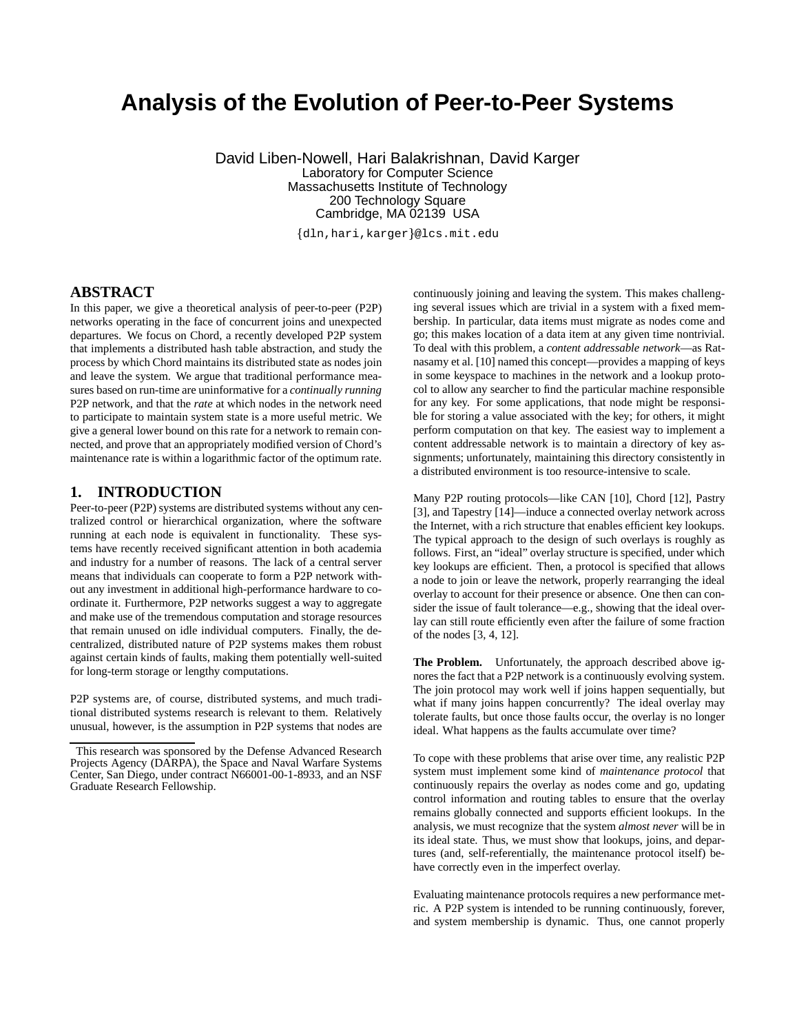# **Analysis of the Evolution of Peer-to-Peer Systems**

David Liben-Nowell, Hari Balakrishnan, David Karger Laboratory for Computer Science Massachusetts Institute of Technology 200 Technology Square Cambridge, MA 02139 USA

dln,hari,karger @lcs.mit.edu

## **ABSTRACT**

In this paper, we give a theoretical analysis of peer-to-peer (P2P) networks operating in the face of concurrent joins and unexpected departures. We focus on Chord, a recently developed P2P system that implements a distributed hash table abstraction, and study the process by which Chord maintains its distributed state as nodes join and leave the system. We argue that traditional performance measures based on run-time are uninformative for a *continually running* P2P network, and that the *rate* at which nodes in the network need to participate to maintain system state is a more useful metric. We give a general lower bound on this rate for a network to remain connected, and prove that an appropriately modified version of Chord's maintenance rate is within a logarithmic factor of the optimum rate.

## **1. INTRODUCTION**

Peer-to-peer (P2P) systems are distributed systems without any centralized control or hierarchical organization, where the software running at each node is equivalent in functionality. These systems have recently received significant attention in both academia and industry for a number of reasons. The lack of a central server means that individuals can cooperate to form a P2P network without any investment in additional high-performance hardware to coordinate it. Furthermore, P2P networks suggest a way to aggregate and make use of the tremendous computation and storage resources that remain unused on idle individual computers. Finally, the decentralized, distributed nature of P2P systems makes them robust against certain kinds of faults, making them potentially well-suited for long-term storage or lengthy computations.

P2P systems are, of course, distributed systems, and much traditional distributed systems research is relevant to them. Relatively unusual, however, is the assumption in P2P systems that nodes are continuously joining and leaving the system. This makes challenging several issues which are trivial in a system with a fixed membership. In particular, data items must migrate as nodes come and go; this makes location of a data item at any given time nontrivial. To deal with this problem, a *content addressable network*—as Ratnasamy et al. [10] named this concept—provides a mapping of keys in some keyspace to machines in the network and a lookup protocol to allow any searcher to find the particular machine responsible for any key. For some applications, that node might be responsible for storing a value associated with the key; for others, it might perform computation on that key. The easiest way to implement a content addressable network is to maintain a directory of key assignments; unfortunately, maintaining this directory consistently in a distributed environment is too resource-intensive to scale.

Many P2P routing protocols—like CAN [10], Chord [12], Pastry [3], and Tapestry [14]—induce a connected overlay network across the Internet, with a rich structure that enables efficient key lookups. The typical approach to the design of such overlays is roughly as follows. First, an "ideal" overlay structure is specified, under which key lookups are efficient. Then, a protocol is specified that allows a node to join or leave the network, properly rearranging the ideal overlay to account for their presence or absence. One then can consider the issue of fault tolerance—e.g., showing that the ideal overlay can still route efficiently even after the failure of some fraction of the nodes [3, 4, 12].

**The Problem.** Unfortunately, the approach described above ignores the fact that a P2P network is a continuously evolving system. The join protocol may work well if joins happen sequentially, but what if many joins happen concurrently? The ideal overlay may tolerate faults, but once those faults occur, the overlay is no longer ideal. What happens as the faults accumulate over time?

To cope with these problems that arise over time, any realistic P2P system must implement some kind of *maintenance protocol* that continuously repairs the overlay as nodes come and go, updating control information and routing tables to ensure that the overlay remains globally connected and supports efficient lookups. In the analysis, we must recognize that the system *almost never* will be in its ideal state. Thus, we must show that lookups, joins, and departures (and, self-referentially, the maintenance protocol itself) behave correctly even in the imperfect overlay.

Evaluating maintenance protocols requires a new performance metric. A P2P system is intended to be running continuously, forever, and system membership is dynamic. Thus, one cannot properly

This research was sponsored by the Defense Advanced Research Projects Agency (DARPA), the Space and Naval Warfare Systems Center, San Diego, under contract N66001-00-1-8933, and an NSF Graduate Research Fellowship.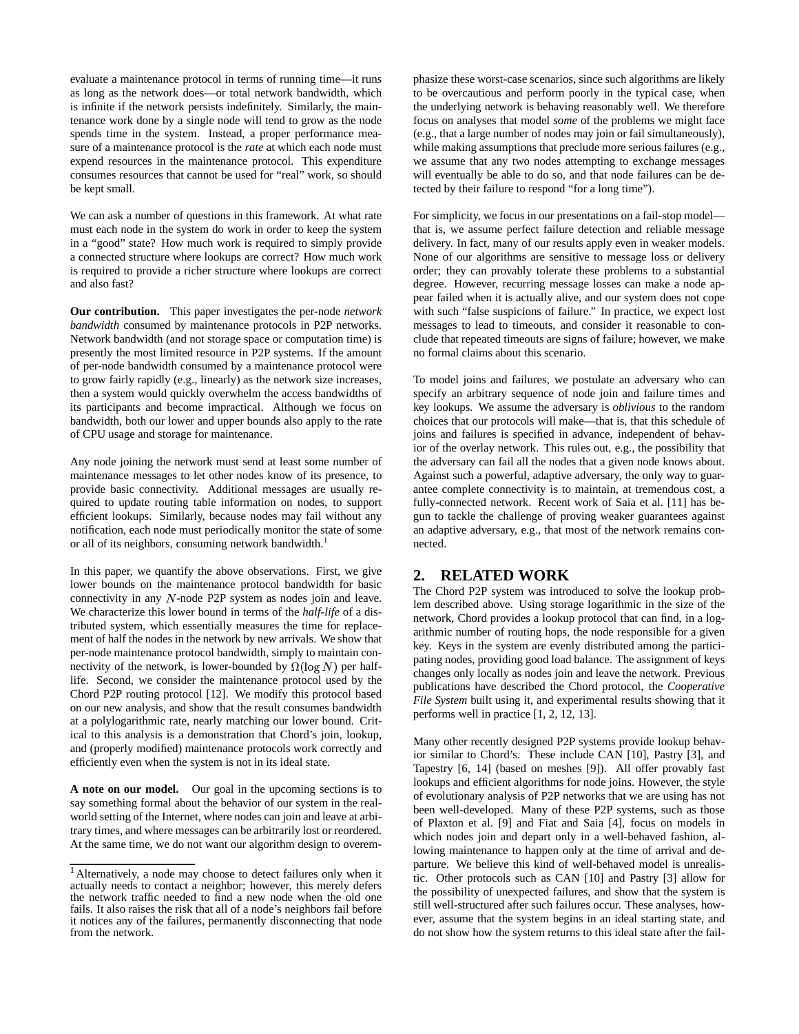evaluate a maintenance protocol in terms of running time—it runs as long as the network does—or total network bandwidth, which is infinite if the network persists indefinitely. Similarly, the maintenance work done by a single node will tend to grow as the node spends time in the system. Instead, a proper performance measure of a maintenance protocol is the *rate* at which each node must expend resources in the maintenance protocol. This expenditure consumes resources that cannot be used for "real" work, so should be kept small.

We can ask a number of questions in this framework. At what rate must each node in the system do work in order to keep the system in a "good" state? How much work is required to simply provide a connected structure where lookups are correct? How much work is required to provide a richer structure where lookups are correct and also fast?

**Our contribution.** This paper investigates the per-node *network bandwidth* consumed by maintenance protocols in P2P networks. Network bandwidth (and not storage space or computation time) is presently the most limited resource in P2P systems. If the amount of per-node bandwidth consumed by a maintenance protocol were to grow fairly rapidly (e.g., linearly) as the network size increases, then a system would quickly overwhelm the access bandwidths of its participants and become impractical. Although we focus on bandwidth, both our lower and upper bounds also apply to the rate of CPU usage and storage for maintenance.

Any node joining the network must send at least some number of maintenance messages to let other nodes know of its presence, to provide basic connectivity. Additional messages are usually required to update routing table information on nodes, to support efficient lookups. Similarly, because nodes may fail without any notification, each node must periodically monitor the state of some or all of its neighbors, consuming network bandwidth.<sup>1</sup>

In this paper, we quantify the above observations. First, we give lower bounds on the maintenance protocol bandwidth for basic connectivity in any  $N$ -node P2P system as nodes join and leave. We characterize this lower bound in terms of the *half-life* of a distributed system, which essentially measures the time for replacement of half the nodes in the network by new arrivals. We show that per-node maintenance protocol bandwidth, simply to maintain connectivity of the network, is lower-bounded by  $\Omega(\log N)$  per halflife. Second, we consider the maintenance protocol used by the Chord P2P routing protocol [12]. We modify this protocol based on our new analysis, and show that the result consumes bandwidth at a polylogarithmic rate, nearly matching our lower bound. Critical to this analysis is a demonstration that Chord's join, lookup, and (properly modified) maintenance protocols work correctly and efficiently even when the system is not in its ideal state.

**A note on our model.** Our goal in the upcoming sections is to say something formal about the behavior of our system in the realworld setting of the Internet, where nodes can join and leave at arbitrary times, and where messages can be arbitrarily lost or reordered. At the same time, we do not want our algorithm design to overemphasize these worst-case scenarios, since such algorithms are likely to be overcautious and perform poorly in the typical case, when the underlying network is behaving reasonably well. We therefore focus on analyses that model *some* of the problems we might face (e.g., that a large number of nodes may join or fail simultaneously), while making assumptions that preclude more serious failures (e.g., we assume that any two nodes attempting to exchange messages will eventually be able to do so, and that node failures can be detected by their failure to respond "for a long time").

For simplicity, we focus in our presentations on a fail-stop model that is, we assume perfect failure detection and reliable message delivery. In fact, many of our results apply even in weaker models. None of our algorithms are sensitive to message loss or delivery order; they can provably tolerate these problems to a substantial degree. However, recurring message losses can make a node appear failed when it is actually alive, and our system does not cope with such "false suspicions of failure." In practice, we expect lost messages to lead to timeouts, and consider it reasonable to conclude that repeated timeouts are signs of failure; however, we make no formal claims about this scenario.

To model joins and failures, we postulate an adversary who can specify an arbitrary sequence of node join and failure times and key lookups. We assume the adversary is *oblivious* to the random choices that our protocols will make—that is, that this schedule of joins and failures is specified in advance, independent of behavior of the overlay network. This rules out, e.g., the possibility that the adversary can fail all the nodes that a given node knows about. Against such a powerful, adaptive adversary, the only way to guarantee complete connectivity is to maintain, at tremendous cost, a fully-connected network. Recent work of Saia et al. [11] has begun to tackle the challenge of proving weaker guarantees against an adaptive adversary, e.g., that most of the network remains connected.

# **2. RELATED WORK**

The Chord P2P system was introduced to solve the lookup problem described above. Using storage logarithmic in the size of the network, Chord provides a lookup protocol that can find, in a logarithmic number of routing hops, the node responsible for a given key. Keys in the system are evenly distributed among the participating nodes, providing good load balance. The assignment of keys changes only locally as nodes join and leave the network. Previous publications have described the Chord protocol, the *Cooperative File System* built using it, and experimental results showing that it performs well in practice [1, 2, 12, 13].

Many other recently designed P2P systems provide lookup behavior similar to Chord's. These include CAN [10], Pastry [3], and Tapestry [6, 14] (based on meshes [9]). All offer provably fast lookups and efficient algorithms for node joins. However, the style of evolutionary analysis of P2P networks that we are using has not been well-developed. Many of these P2P systems, such as those of Plaxton et al. [9] and Fiat and Saia [4], focus on models in which nodes join and depart only in a well-behaved fashion, allowing maintenance to happen only at the time of arrival and departure. We believe this kind of well-behaved model is unrealistic. Other protocols such as CAN [10] and Pastry [3] allow for the possibility of unexpected failures, and show that the system is still well-structured after such failures occur. These analyses, however, assume that the system begins in an ideal starting state, and do not show how the system returns to this ideal state after the fail-

<sup>&</sup>lt;sup>1</sup> Alternatively, a node may choose to detect failures only when it actually needs to contact a neighbor; however, this merely defers the network traffic needed to find a new node when the old one fails. It also raises the risk that all of a node's neighbors fail before it notices any of the failures, permanently disconnecting that node from the network.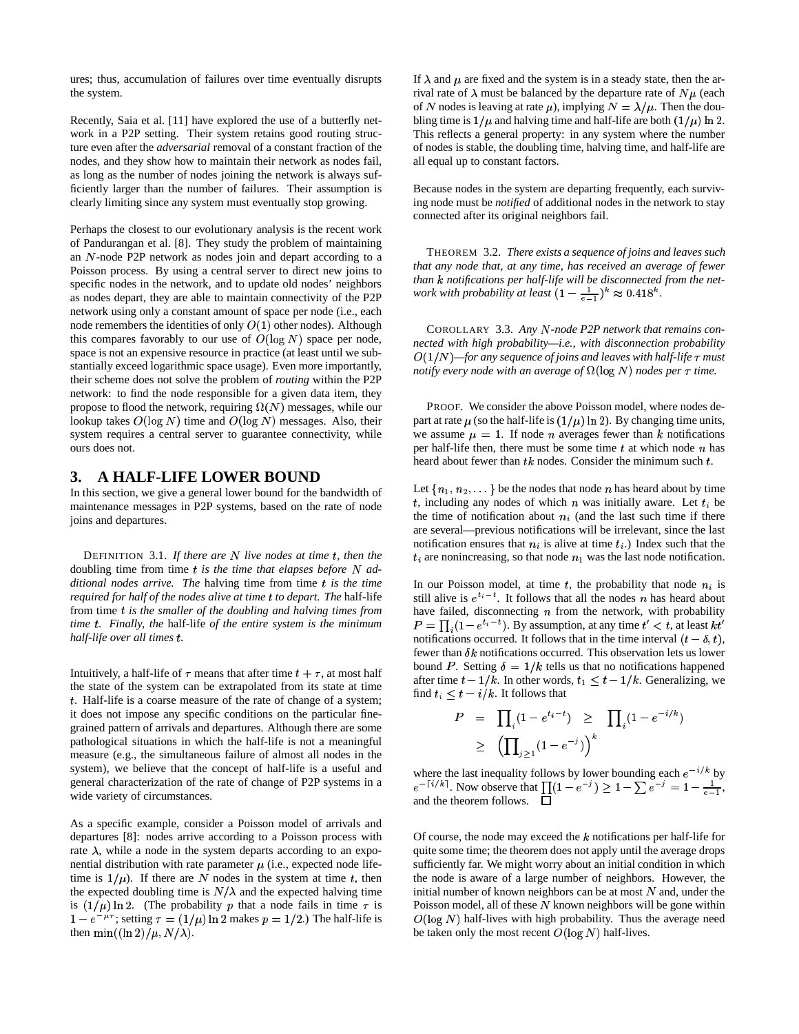ures; thus, accumulation of failures over time eventually disrupts the system.

Recently, Saia et al. [11] have explored the use of a butterfly network in a P2P setting. Their system retains good routing structure even after the *adversarial* removal of a constant fraction of the nodes, and they show how to maintain their network as nodes fail, as long as the number of nodes joining the network is always sufficiently larger than the number of failures. Their assumption is clearly limiting since any system must eventually stop growing.

Perhaps the closest to our evolutionary analysis is the recent work of Pandurangan et al. [8]. They study the problem of maintaining an  $N$ -node P2P network as nodes join and depart according to a Poisson process. By using a central server to direct new joins to specific nodes in the network, and to update old nodes' neighbors as nodes depart, they are able to maintain connectivity of the P2P network using only a constant amount of space per node (i.e., each node remembers the identities of only  $O(1)$  other nodes). Although this compares favorably to our use of  $O(\log N)$  space per node, space is not an expensive resource in practice (at least until we substantially exceed logarithmic space usage). Even more importantly, their scheme does not solve the problem of *routing* within the P2P network: to find the node responsible for a given data item, they propose to flood the network, requiring  $\Omega(N)$  messages, while our lookup takes  $O(\log N)$  time and  $O(\log N)$  messages. Also, their system requires a central server to guarantee connectivity, while ours does not.

# **3. A HALF-LIFE LOWER BOUND**

In this section, we give a general lower bound for the bandwidth of maintenance messages in P2P systems, based on the rate of node joins and departures.

DEFINITION 3.1. *If there are live nodes at time , then the* doubling time from time *is the time that elapses before additional nodes arrive. The* halving time from time *is the time required for half of the nodes alive at time to depart. The* half-life from time *is the smaller of the doubling and halving times from time . Finally, the* half-life *of the entire system is the minimum half-life over all times .*

Intuitively, a half-life of  $\tau$  means that after time  $t + \tau$ , at most half the state of the system can be extrapolated from its state at time . Half-life is a coarse measure of the rate of change of a system; it does not impose any specific conditions on the particular finegrained pattern of arrivals and departures. Although there are some pathological situations in which the half-life is not a meaningful measure (e.g., the simultaneous failure of almost all nodes in the system), we believe that the concept of half-life is a useful and general characterization of the rate of change of P2P systems in a wide variety of circumstances.

As a specific example, consider a Poisson model of arrivals and departures [8]: nodes arrive according to a Poisson process with rate  $\lambda$ , while a node in the system departs according to an exponential distribution with rate parameter  $\mu$  (i.e., expected node lifetime is  $1/\mu$ ). If there are N nodes in the system at time t, then the expected doubling time is  $N/\lambda$  and the expected halving time is  $(1/\mu)$  ln 2. (The probability p that a node fails in time  $\tau$  is Pe  $1 - e^{-\mu \tau}$ ; setting  $\tau = (1/\mu) \ln 2$  makes  $p = 1/2$ .) The half-life is then  $\min((\ln 2)/\mu, N/\lambda)$ .

If  $\lambda$  and  $\mu$  are fixed and the system is in a steady state, then the arrival rate of  $\lambda$  must be balanced by the departure rate of  $N\mu$  (each of N nodes is leaving at rate  $\mu$ ), implying  $N = \lambda / \mu$ . Then the doubling time is  $1/\mu$  and halving time and half-life are both  $(1/\mu)$  ln 2. This reflects a general property: in any system where the number of nodes is stable, the doubling time, halving time, and half-life are all equal up to constant factors.

Because nodes in the system are departing frequently, each surviving node must be *notified* of additional nodes in the network to stay connected after its original neighbors fail.

THEOREM 3.2. *There exists a sequence of joins and leaves such that any node that, at any time, has received an average of fewer than* - *notifications per half-life will be disconnected from the network* with probability at least  $(1 - \frac{1}{e-1})^k \approx 0.418^k$ .

COROLLARY 3.3. Any N-node P2P network that remains con*nected with high probability—i.e., with disconnection probability*  $O(1/N)$ —for any sequence of joins and leaves with half-life  $\tau$  must *notify every node with an average of*  $\Omega(\log N)$  *nodes per*  $\tau$  *time.* 

PROOF. We consider the above Poisson model, where nodes depart at rate  $\mu$  (so the half-life is  $(1/\mu)$  ln 2). By changing time units, we assume  $\mu = 1$ . If node *n* averages fewer than *k* notifications per half-life then, there must be some time  $t$  at which node  $n$  has heard about fewer than  $tk$  nodes. Consider the minimum such  $t$ .

Let  $\{n_1, n_2, \ldots\}$  be the nodes that node n has heard about by time  $t$ , including any nodes of which  $n$  was initially aware. Let  $t_i$  be the time of notification about  $n_i$  (and the last such time if there are several—previous notifications will be irrelevant, since the last notification ensures that  $n_i$  is alive at time  $t_i$ .) Index such that the  $t_i$  are nonincreasing, so that node  $n_1$  was the last node notification.

In our Poisson model, at time  $t$ , the probability that node  $n_i$  is still alive is  $e^{t_i-t}$ . It follows that all the nodes *n* has heard about have failed, disconnecting  $n$  from the network, with probability  $P = \prod_i (1 - e^{t_i - t})$ . By assumption, at any time  $t' < t$ , at least  $kt'$ notifications occurred. It follows that in the time interval  $(t - \delta, t)$ , fewer than  $\delta k$  notifications occurred. This observation lets us lower bound P. Setting  $\delta = 1/k$  tells us that no notifications happened after time  $t - 1/k$ . In other words,  $t_1 \leq t - 1/k$ . Generalizing, we find  $t_i \leq t - i/k$ . It follows that

$$
P = \prod_{i} (1 - e^{t_i - t}) \ge \prod_{i} (1 - e^{-i/k})
$$
  
 
$$
\ge \left(\prod_{j \ge 1} (1 - e^{-j})\right)^k
$$

where the last inequality follows by lower bounding each  $e^{-i/k}$  by  $e^{-\lceil i/k \rceil}$ . Now observe that  $\prod (1 - e^{-j}) \geq 1 - \sum e^{-j} = 1 - \frac{1}{e^{-j}}$ , and the theorem follows.  $\Box$ 

Of course, the node may exceed the  $k$  notifications per half-life for quite some time; the theorem does not apply until the average drops sufficiently far. We might worry about an initial condition in which the node is aware of a large number of neighbors. However, the initial number of known neighbors can be at most  $N$  and, under the Poisson model, all of these  $N$  known neighbors will be gone within  $O(\log N)$  half-lives with high probability. Thus the average need be taken only the most recent  $O(\log N)$  half-lives.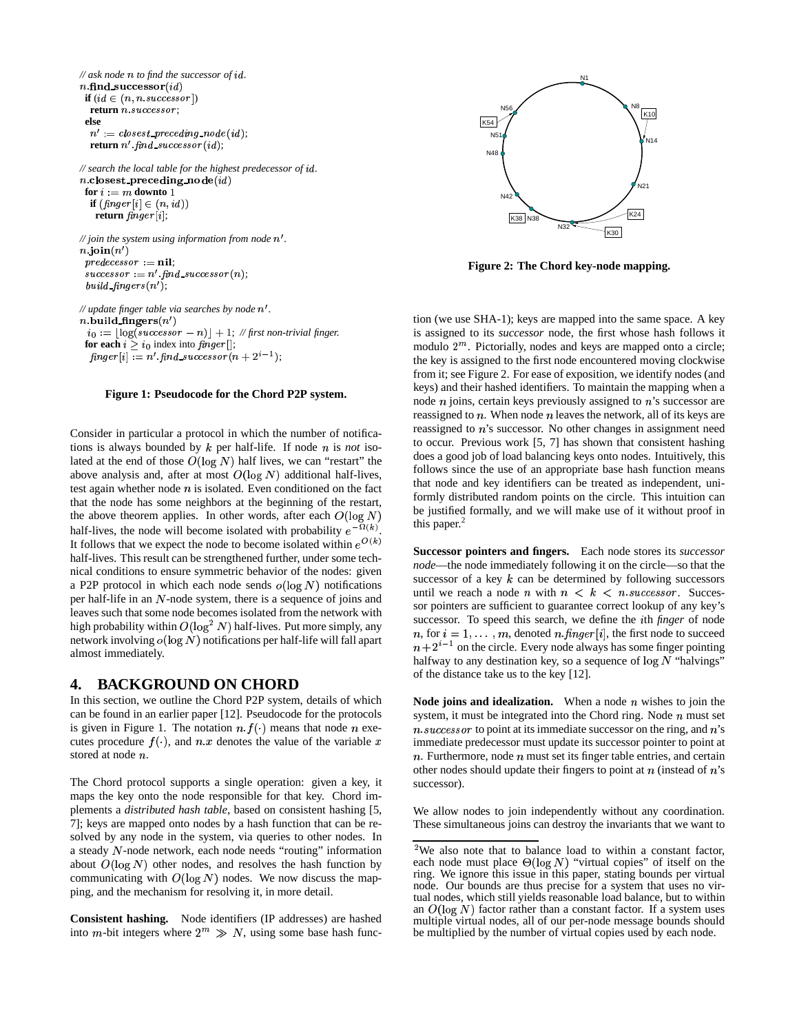```
// ask node  to find the successor of -
. \emph{n}. find_successor ( id )
 \textbf{if} \ (id \in (n, n \ \textit{successor} \,))return n successor;
 else n' \coloneqq \textit{closest\_preceding\_node}(\textit{id});{\bf return} \; n' .find_successor(id);
// search the local table for the highest predecessor of id.
n. closest_preceding_node( id)for i := m downto 1if (\textit{finger}[i] \in (n, id))return finger [i];
// join the system using information from node  H . n join(n')\emph{predecessor} := \textbf{nil};successor := n' . find_successor (n);
 build\_fingers(n') ;// update finger table via searches by node n'.
n build fingers(n')N_0 := |\log(successor - n)| + 1; \mathcal{N} first non-trivial finger.
 for each i \geq i_0 index into \hat{f}_nger[];
  \emph{finger}[i] := n' . find_successor (n+2^{i-1});
```
# **Figure 1: Pseudocode for the Chord P2P system.**

Consider in particular a protocol in which the number of notifications is always bounded by  $k$  per half-life. If node  $n$  is *not* isolated at the end of those  $O(\log N)$  half lives, we can "restart" the above analysis and, after at most  $O(\log N)$  additional half-lives, test again whether node  $n$  is isolated. Even conditioned on the fact that the node has some neighbors at the beginning of the restart, the above theorem applies. In other words, after each  $O(\log N)$ half-lives, the node will become isolated with probability  $e^{-\Omega(k)}$ . It follows that we expect the node to become isolated within  $e^{O(k)}$ half-lives. This result can be strengthened further, under some technical conditions to ensure symmetric behavior of the nodes: given a P2P protocol in which each node sends  $o(\log N)$  notifications per half-life in an  $N$ -node system, there is a sequence of joins and leaves such that some node becomes isolated from the network with high probability within  $O(\log^2 N)$  half-lives. Put more simply, any network involving  $o(\log N)$  notifications per half-life will fall apart almost immediately.

## **4. BACKGROUND ON CHORD**

In this section, we outline the Chord P2P system, details of which can be found in an earlier paper [12]. Pseudocode for the protocols is given in Figure 1. The notation  $n \cdot f(\cdot)$  means that node  $n$  executes procedure  $f(.)$ , and  $n.x$  denotes the value of the variable  $x$  imm stored at node  $n$ .

The Chord protocol supports a single operation: given a key, it maps the key onto the node responsible for that key. Chord implements a *distributed hash table*, based on consistent hashing [5, 7]; keys are mapped onto nodes by a hash function that can be resolved by any node in the system, via queries to other nodes. In a steady  $N$ -node network, each node needs "routing" information about  $O(\log N)$  other nodes, and resolves the hash function by communicating with  $O(\log N)$  nodes. We now discuss the mapping, and the mechanism for resolving it, in more detail.

**Consistent hashing.** Node identifiers (IP addresses) are hashed into m-bit integers where  $2^m \gg N$ , using some base hash func-



**Figure 2: The Chord key-node mapping.**

tion (we use SHA-1); keys are mapped into the same space. A key is assigned to its *successor* node, the first whose hash follows it modulo  $2^m$ . Pictorially, nodes and keys are mapped onto a circle; the key is assigned to the first node encountered moving clockwise from it; see Figure 2. For ease of exposition, we identify nodes (and keys) and their hashed identifiers. To maintain the mapping when a node  $n$  joins, certain keys previously assigned to  $n$ 's successor are reassigned to  $n$ . When node  $n$  leaves the network, all of its keys are reassigned to  $n$ 's successor. No other changes in assignment need to occur. Previous work [5, 7] has shown that consistent hashing does a good job of load balancing keys onto nodes. Intuitively, this follows since the use of an appropriate base hash function means that node and key identifiers can be treated as independent, uniformly distributed random points on the circle. This intuition can be justified formally, and we will make use of it without proof in this paper.<sup>2</sup>

**Successor pointers and fingers.** Each node stores its *successor node*—the node immediately following it on the circle—so that the successor of a key  $k$  can be determined by following successors until we reach a node n with  $n < k < n$  successor. Successor pointers are sufficient to guarantee correct lookup of any key's successor. To speed this search, we define the *i*th *finger* of node n, for  $i=1,\ldots,m$ , denoted n finger [i], the first node to succeed  $n+2^{i-1}$  on the circle. Every node always has some finger pointing halfway to any destination key, so a sequence of  $\log N$  "halvings" of the distance take us to the key [12].

**Node joins and <b>idealization.** When a node  $n$  wishes to join the system, it must be integrated into the Chord ring. Node  $n$  must set  $n.successor$  to point at its immediate successor on the ring, and  $n$ 's immediate predecessor must update its successor pointer to point at  $n$ . Furthermore, node  $n$  must set its finger table entries, and certain other nodes should update their fingers to point at  $n$  (instead of  $n$ 's successor).

We allow nodes to join independently without any coordination. These simultaneous joins can destroy the invariants that we want to

<sup>&</sup>lt;sup>2</sup>We also note that to balance load to within a constant factor, each node must place  $\Theta(\log N)$  "virtual copies" of itself on the ring. We ignore this issue in this paper, stating bounds per virtual node. Our bounds are thus precise for a system that uses no virtual nodes, which still yields reasonable load balance, but to within an  $O(\log N)$  factor rather than a constant factor. If a system uses multiple virtual nodes, all of our per-node message bounds should be multiplied by the number of virtual copies used by each node.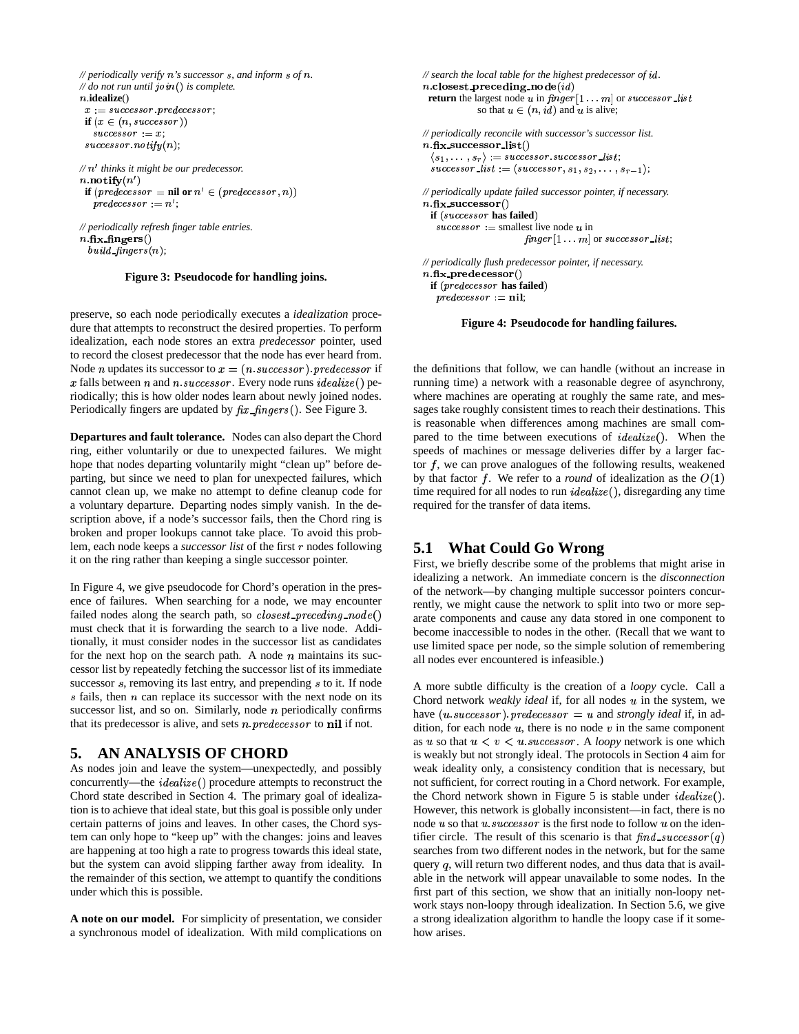```
// periodically verify 's successor  , and inform  of .
// do not run until  '5J6+ 
is complete. .idealize() x := successor\ .predecessary;if (x \in (n, successor))successor := x;successor \; notify(n);// n' thinks it might be our predecessor.
n.\mathbf{notify}(n')if (\text{predecessor} = \textbf{nil} \text{ or } n' \in (\text{predecessor}, n))\textit{predecessor} \ := n' ;// periodically refresh finger table entries. ---------
n.fix_fingers()
  build\_{\tilde{f}}{}ngers(n);
```
## **Figure 3: Pseudocode for handling joins.**

preserve, so each node periodically executes a *idealization* procedure that attempts to reconstruct the desired properties. To perform idealization, each node stores an extra *predecessor* pointer, used to record the closest predecessor that the node has ever heard from. Node *n* updates its successor to  $x = (n \cdot successor) \cdot predecessor$  if  $x$  falls between  $n$  and  $n.successor$  . Every node runs  $\emph{idealize}()$  periodically; this is how older nodes learn about newly joined nodes. Periodically fingers are updated by  $fix\text{-}fingers$  (). See Figure 3.

**Departures and fault tolerance.** Nodes can also depart the Chord ring, either voluntarily or due to unexpected failures. We might hope that nodes departing voluntarily might "clean up" before departing, but since we need to plan for unexpected failures, which cannot clean up, we make no attempt to define cleanup code for a voluntary departure. Departing nodes simply vanish. In the description above, if a node's successor fails, then the Chord ring is broken and proper lookups cannot take place. To avoid this problem, each node keeps a *successor list* of the first r nodes following it on the ring rather than keeping a single successor pointer.

In Figure 4, we give pseudocode for Chord's operation in the presence of failures. When searching for a node, we may encounter failed nodes along the search path, so *closest\_preceding\_node*() must check that it is forwarding the search to a live node. Additionally, it must consider nodes in the successor list as candidates for the next hop on the search path. A node  $n$  maintains its successor list by repeatedly fetching the successor list of its immediate successor  $s$ , removing its last entry, and prepending  $s$  to it. If node s fails, then  $n$  can replace its successor with the next node on its successor list, and so on. Similarly, node  $n$  periodically confirms that its predecessor is alive, and sets  $n$  predecessor to nil if not.

# **5. AN ANALYSIS OF CHORD**

As nodes join and leave the system—unexpectedly, and possibly concurrently—the  $\mathit{idealize}()$  procedure attempts to reconstruct the Chord state described in Section 4. The primary goal of idealization is to achieve that ideal state, but this goal is possible only under certain patterns of joins and leaves. In other cases, the Chord system can only hope to "keep up" with the changes: joins and leaves are happening at too high a rate to progress towards this ideal state, but the system can avoid slipping farther away from ideality. In the remainder of this section, we attempt to quantify the conditions under which this is possible.

**A note on our model.** For simplicity of presentation, we consider a synchronous model of idealization. With mild complications on

```
// search the local table for the highest predecessor of id.
n closest preceding node(id)return the largest node u in finger[1 \dots m] or successor, list
             so that u \in (n, id) and u is alive;
// periodically reconcile with successor's successor list. n. fix successor list( )
  \langle s_1, \ldots, s_r \rangle := successor\mathit{successor\_list};successor\_list := \langle successor, s_1, s_2, \ldots, s_{r-1}\rangle;- /
// periodically update failed successor pointer, if necessary. n fix successor( )
 if (successor has failed)
    successor := smallest live node u in
                        {\it finger}[1\ldots m] or successor\_list;// periodically flush predecessor pointer, if necessary. n fix predecessor( )
  if (predecessor has failed)
   \emph{predecessor} \ := \textbf{nil};
```
**Figure 4: Pseudocode for handling failures.**

the definitions that follow, we can handle (without an increase in running time) a network with a reasonable degree of asynchrony, where machines are operating at roughly the same rate, and messages take roughly consistent times to reach their destinations. This is reasonable when differences among machines are small compared to the time between executions of  $idealize()$ . When the speeds of machines or message deliveries differ by a larger factor  $f$ , we can prove analogues of the following results, weakened by that factor f. We refer to a *round* of idealization as the  $O(1)$ time required for all nodes to run  $\emph{idealize}($ ), disregarding any time required for the transfer of data items.

## **5.1 What Could Go Wrong**

First, we briefly describe some of the problems that might arise in idealizing a network. An immediate concern is the *disconnection* of the network—by changing multiple successor pointers concurrently, we might cause the network to split into two or more separate components and cause any data stored in one component to become inaccessible to nodes in the other. (Recall that we want to use limited space per node, so the simple solution of remembering all nodes ever encountered is infeasible.)

A more subtle difficulty is the creation of a *loopy* cycle. Call a Chord network *weakly ideal* if, for all nodes  $u$  in the system, we have  $(u.successor)$  *predecessor* =  $u$  and *strongly ideal* if, in addition, for each node  $u$ , there is no node  $v$  in the same component as u so that  $u < v < u$  successor. A *loopy* network is one which is weakly but not strongly ideal. The protocols in Section 4 aim for weak ideality only, a consistency condition that is necessary, but not sufficient, for correct routing in a Chord network. For example, the Chord network shown in Figure 5 is stable under  $idealize()$ . However, this network is globally inconsistent—in fact, there is no node  $u$  so that  $u$ . successor is the first node to follow  $u$  on the identifier circle. The result of this scenario is that  $\beta_{ind\_successor}(q)$ searches from two different nodes in the network, but for the same query  $q$ , will return two different nodes, and thus data that is available in the network will appear unavailable to some nodes. In the first part of this section, we show that an initially non-loopy network stays non-loopy through idealization. In Section 5.6, we give a strong idealization algorithm to handle the loopy case if it somehow arises.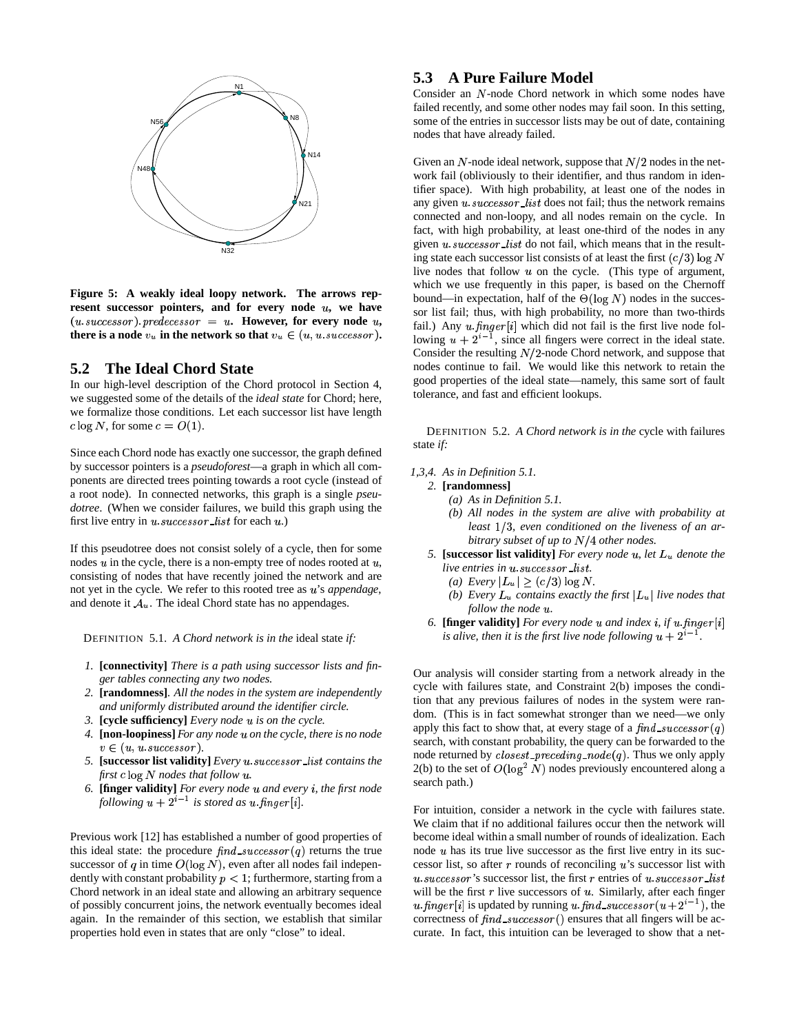

**Figure 5: A weakly ideal loopy network. The arrows represent successor pointers, and for every node** )**, we have**  $(u.successor)$ .  $predecessor = u$ . However, for every node  $u$ , **there** is a node  $v_u$  in the network so that  $v_u \in (u, u.successor)$ .

# **5.2 The Ideal Chord State**

In our high-level description of the Chord protocol in Section 4, we suggested some of the details of the *ideal state* for Chord; here, we formalize those conditions. Let each successor list have length c log N, for some  $c = O(1)$ .

Since each Chord node has exactly one successor, the graph defined by successor pointers is a *pseudoforest*—a graph in which all components are directed trees pointing towards a root cycle (instead of a root node). In connected networks, this graph is a single *pseudotree*. (When we consider failures, we build this graph using the first live entry in  $u$  successor list for each  $u$ .)

If this pseudotree does not consist solely of a cycle, then for some nodes  $u$  in the cycle, there is a non-empty tree of nodes rooted at  $u$ , consisting of nodes that have recently joined the network and are not yet in the cycle. We refer to this rooted tree as u's *appendage*, and denote it  $A_u$ . The ideal Chord state has no appendages.

DEFINITION 5.1. *A Chord network is in the* ideal state *if:*

- *1.* **[connectivity]** *There is a path using successor lists and finger tables connecting any two nodes.*
- *2.* **[randomness]***. All the nodes in the system are independently and uniformly distributed around the identifier circle.*
- *3.* **[cycle sufficiency]** *Every node* ) *is on the cycle.*
- *4.* **[non-loopiness]** *For any node* ) *on the cycle, there is no node*  $v \in (u, u$  successor).
- 5. **[successor list validity]** *Every* **u**. successor\_list contains the *first*  $c \log N$  *nodes that follow u.*
- *6.* **[finger validity]** For every node  $u$  and every *i*, the first node *following*  $u + 2^{i-1}$  *is stored as*  $u$  *finger*  $[i]$ *.*

Previous work [12] has established a number of good properties of this ideal state: the procedure  $\int f \, d\mu$  successor(q) returns the true successor of q in time  $O(\log N)$ , even after all nodes fail independently with constant probability  $p< 1$ ; furthermore, starting from a Chord network in an ideal state and allowing an arbitrary sequence of possibly concurrent joins, the network eventually becomes ideal again. In the remainder of this section, we establish that similar properties hold even in states that are only "close" to ideal.

# **5.3 A Pure Failure Model**

Consider an  $N$ -node Chord network in which some nodes have failed recently, and some other nodes may fail soon. In this setting, some of the entries in successor lists may be out of date, containing nodes that have already failed.

Given an  $N$ -node ideal network, suppose that  $N/2$  nodes in the network fail (obliviously to their identifier, and thus random in identifier space). With high probability, at least one of the nodes in any given  $u$  successor list does not fail; thus the network remains connected and non-loopy, and all nodes remain on the cycle. In fact, with high probability, at least one-third of the nodes in any given  $u$  successor list do not fail, which means that in the resulting state each successor list consists of at least the first  $(c/3)$  log N live nodes that follow  $u$  on the cycle. (This type of argument, which we use frequently in this paper, is based on the Chernoff bound—in expectation, half of the  $\Theta(\log N)$  nodes in the successor list fail; thus, with high probability, no more than two-thirds fail.) Any  $u$  finger [i] which did not fail is the first live node following  $u + 2^{i-1}$ , since all fingers were correct in the ideal state. Consider the resulting  $N/2$ -node Chord network, and suppose that nodes continue to fail. We would like this network to retain the good properties of the ideal state—namely, this same sort of fault tolerance, and fast and efficient lookups.

DEFINITION 5.2. *A Chord network is in the* cycle with failures state *if:*

#### *1,3,4. As in Definition 5.1.*

#### *2.* **[randomness]**

- *(a) As in Definition 5.1.*
- *(b) All nodes in the system are alive with probability at least , even conditioned on the liveness of an arbitrary subset of up to* B7 *other nodes.*
- 5. **[successor list validity]** For every node  $u$ , let  $L_u$  denote the *live* entries in **u** successor\_list.
	- (*a*) *Every*  $|L_u| \ge (c/3) \log N$ .
	- *(b)* Every  $L_u$  contains exactly the first  $|L_u|$  live nodes that *follow the node* )*.*
- *6.* **[finger validity]** For every node  $u$  and index  $i$ , if  $u$  finger[ $i$ ] *is alive, then it is the first live node following*  $u + 2^{i-1}$ .

Our analysis will consider starting from a network already in the cycle with failures state, and Constraint 2(b) imposes the condition that any previous failures of nodes in the system were random. (This is in fact somewhat stronger than we need—we only apply this fact to show that, at every stage of a  $\mathit{find\_successor}(q)$ search, with constant probability, the query can be forwarded to the node returned by *closest\_preceding\_node(q)*. Thus we only apply 2(b) to the set of  $O(\log^2 N)$  nodes previously encountered along a search path.)

For intuition, consider a network in the cycle with failures state. We claim that if no additional failures occur then the network will become ideal within a small number of rounds of idealization. Each node  $u$  has its true live successor as the first live entry in its successor list, so after  $r$  rounds of reconciling  $u$ 's successor list with  $u$  successor's successor list, the first  $r$  entries of  $u$  successor list will be the first  $r$  live successors of  $u$ . Similarly, after each finger u. finger [i] is updated by running u. find\_successor  $(u+2^{i-1})$ , the correctness of  $find\_successor()$  ensures that all fingers will be accurate. In fact, this intuition can be leveraged to show that a net-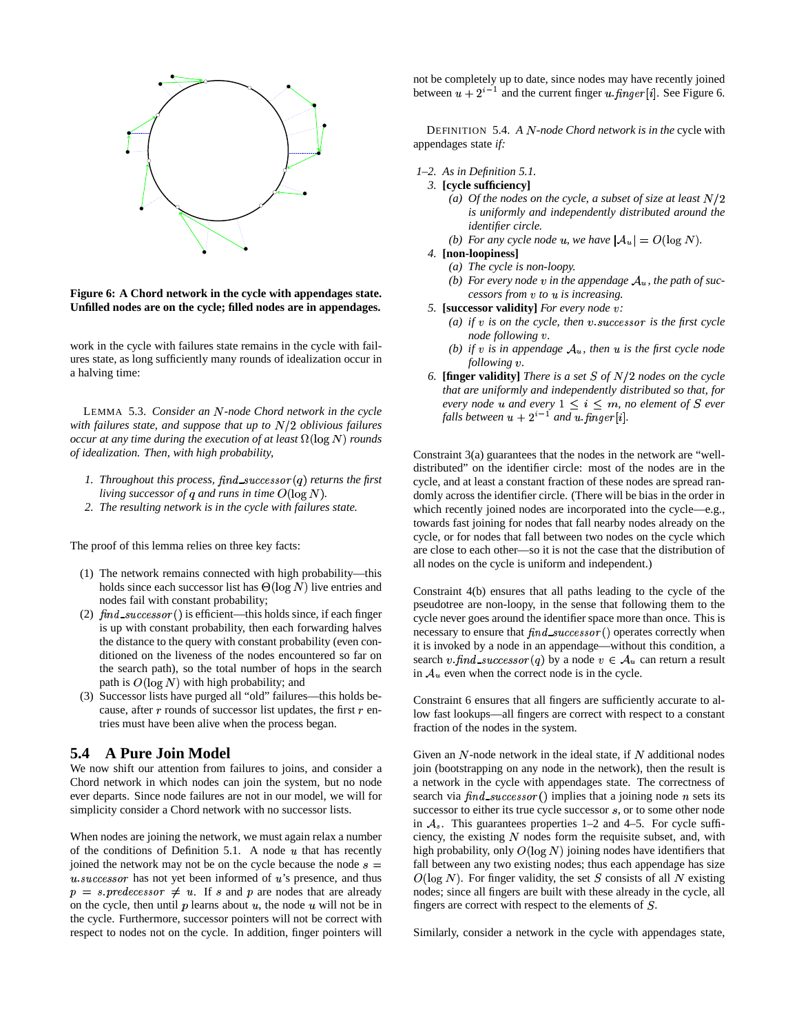

## **Figure 6: A Chord network in the cycle with appendages state. Unfilled nodes are on the cycle; filled nodes are in appendages.**

work in the cycle with failures state remains in the cycle with failures state, as long sufficiently many rounds of idealization occur in a halving time:

LEMMA 5.3. *Consider an -node Chord network in the cycle with failures state, and suppose that up to oblivious failures occur at any time during the execution of at least*  $\Omega(\log N)$  *rounds of idealization. Then, with high probability,*

- *1. Throughout this process, find\_successor*  $(q)$  *returns the first living successor of q and runs in time*  $O(\log N)$ .
- *2. The resulting network is in the cycle with failures state.*

The proof of this lemma relies on three key facts:

- (1) The network remains connected with high probability—this holds since each successor list has  $\Theta(\log N)$  live entries and nodes fail with constant probability;
- (2)  $find\_successor()$  is efficient—this holds since, if each finger is up with constant probability, then each forwarding halves the distance to the query with constant probability (even conditioned on the liveness of the nodes encountered so far on the search path), so the total number of hops in the search path is  $O(\log N)$  with high probability; and
- (3) Successor lists have purged all "old" failures—this holds because, after  $r$  rounds of successor list updates, the first  $r$  entries must have been alive when the process began.

# **5.4 A Pure Join Model**

We now shift our attention from failures to joins, and consider a Chord network in which nodes can join the system, but no node ever departs. Since node failures are not in our model, we will for simplicity consider a Chord network with no successor lists.

When nodes are joining the network, we must again relax a number of the conditions of Definition 5.1. A node  $u$  that has recently joined the network may not be on the cycle because the node  $s =$  $u$  successor has not yet been informed of  $u$ 's presence, and thus  $p = s.\text{predecessor } \neq u.$  If s and p are nodes that are already on the cycle, then until  $p$  learns about  $u$ , the node  $u$  will not be in the cycle. Furthermore, successor pointers will not be correct with respect to nodes not on the cycle. In addition, finger pointers will not be completely up to date, since nodes may have recently joined between  $u + 2^{i-1}$  and the current finger u. finger [i]. See Figure 6.

DEFINITION 5.4. *A -node Chord network is in the* cycle with appendages state *if:*

- *1–2. As in Definition 5.1.*
	- *3.* **[cycle sufficiency]**
		- *(a) Of the nodes on the cycle, a subset of size at least* )*is uniformly and independently distributed around the identifier circle.*
		- *(b)* For any cycle node u, we have  $|A_u| = O(\log N)$ .
	- *4.* **[non-loopiness]**
		- *(a) The cycle is non-loopy.*
		- *(b)* For every node  $v$  in the appendage  $A_u$ , the path of suc*cessors from v to u is increasing.*
	- *5.* **[successor validity]** For every node v:
		- $(a)$  *if*  $v$  *is on the cycle, then*  $v$ *. successor is the first cycle node following*  $v$ .
		- *(b) if*  $v$  *is in appendage*  $A_u$ *, then*  $u$  *is the first cycle node following*  $v$ .
	- *6.* **[finger validity]** *There is a set*  $S$  *of*  $N/2$  *nodes on the cycle that are uniformly and independently distributed so that, for every* node  $u$  and every  $1 \leq i \leq m$ , no element of S ever falls between  $u + 2^{i-1}$  and  $u$  finger  $[i]$ .

Constraint 3(a) guarantees that the nodes in the network are "welldistributed" on the identifier circle: most of the nodes are in the cycle, and at least a constant fraction of these nodes are spread randomly across the identifier circle. (There will be bias in the order in which recently joined nodes are incorporated into the cycle—e.g., towards fast joining for nodes that fall nearby nodes already on the cycle, or for nodes that fall between two nodes on the cycle which are close to each other—so it is not the case that the distribution of all nodes on the cycle is uniform and independent.)

Constraint 4(b) ensures that all paths leading to the cycle of the pseudotree are non-loopy, in the sense that following them to the cycle never goes around the identifier space more than once. This is necessary to ensure that  $find\_successor()$  operates correctly when it is invoked by a node in an appendage—without this condition, a search v. find\_successor (q) by a node  $v \in A_u$  can return a result in  $A_u$  even when the correct node is in the cycle.

Constraint 6 ensures that all fingers are sufficiently accurate to allow fast lookups—all fingers are correct with respect to a constant fraction of the nodes in the system.

Given an  $N$ -node network in the ideal state, if  $N$  additional nodes join (bootstrapping on any node in the network), then the result is a network in the cycle with appendages state. The correctness of search via  $\mathit{find\_successor}$  () implies that a joining node n sets its successor to either its true cycle successor  $s$ , or to some other node in  $A_s$ . This guarantees properties 1–2 and 4–5. For cycle sufficiency, the existing  $N$  nodes form the requisite subset, and, with high probability, only  $O(\log N)$  joining nodes have identifiers that fall between any two existing nodes; thus each appendage has size  $O(\log N)$ . For finger validity, the set S consists of all N existing nodes; since all fingers are built with these already in the cycle, all fingers are correct with respect to the elements of  $S$ .

Similarly, consider a network in the cycle with appendages state,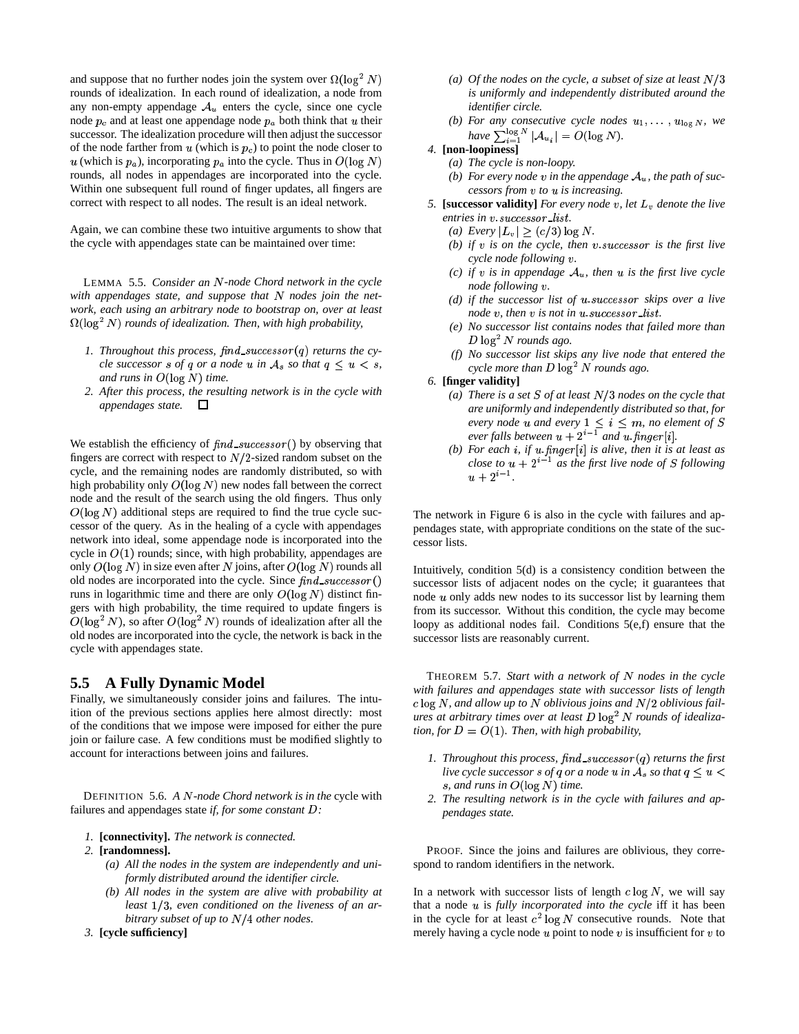and suppose that no further nodes join the system over  $\Omega(\log^2 N)$ rounds of idealization. In each round of idealization, a node from any non-empty appendage  $A_u$  enters the cycle, since one cycle node  $p_c$  and at least one appendage node  $p_a$  both think that  $u$  their successor. The idealization procedure will then adjust the successor of the node farther from  $u$  (which is  $p_c$ ) to point the node closer to u (which is  $p_a$ ), incorporating  $p_a$  into the cycle. Thus in  $O(\log N)$ rounds, all nodes in appendages are incorporated into the cycle. Within one subsequent full round of finger updates, all fingers are correct with respect to all nodes. The result is an ideal network.

Again, we can combine these two intuitive arguments to show that the cycle with appendages state can be maintained over time:

LEMMA 5.5. *Consider an -node Chord network in the cycle with appendages state, and suppose that nodes join the network, each using an arbitrary node to bootstrap on, over at least*  $\Omega(\log^2 N)$  rounds of idealization. Then, with high probability,

- *1. Throughout this process, find\_successor*  $(q)$  *returns the cycle* successor  $s$  of  $q$  or  $a$  node  $u$  in  $A_s$  so that  $q \leq u < s$ , and runs in  $O(\log N)$  time.
- *2. After this process, the resulting network is in the cycle with appendages state.*

We establish the efficiency of  $\hat{f}nd\_successor()$  by observing that fingers are correct with respect to  $N/2$ -sized random subset on the cycle, and the remaining nodes are randomly distributed, so with high probability only  $O(\log N)$  new nodes fall between the correct node and the result of the search using the old fingers. Thus only  $O(\log N)$  additional steps are required to find the true cycle successor of the query. As in the healing of a cycle with appendages network into ideal, some appendage node is incorporated into the cycle in  $O(1)$  rounds; since, with high probability, appendages are only  $O(\log N)$  in size even after N joins, after  $O(\log N)$  rounds all old nodes are incorporated into the cycle. Since  $find\_successor()$ runs in logarithmic time and there are only  $O(\log N)$  distinct fingers with high probability, the time required to update fingers is  $O(\log^2 N)$ , so after  $O(\log^2 N)$  rounds of idealization after all the old nodes are incorporated into the cycle, the network is back in the cycle with appendages state.

# **5.5 A Fully Dynamic Model**

Finally, we simultaneously consider joins and failures. The intuition of the previous sections applies here almost directly: most of the conditions that we impose were imposed for either the pure join or failure case. A few conditions must be modified slightly to account for interactions between joins and failures.

DEFINITION 5.6. *A -node Chord network is in the* cycle with failures and appendages state *if, for some constant :*

- *1.* **[connectivity].** *The network is connected.*
- *2.* **[randomness].**
	- *(a) All the nodes in the system are independently and uniformly distributed around the identifier circle.*
	- *(b) All nodes in the system are alive with probability at least*  $1/3$ , *even conditioned on the liveness of an arbitrary subset of up to* 7 *other nodes.*
- *3.* **[cycle sufficiency]**
- *(a) Of the nodes on the cycle, a subset of size at least is uniformly and independently distributed around the identifier circle.*
- *(b)* For any consecutive cycle nodes  $u_1, \ldots, u_{\log N}$ , we have  $\sum_{i=1}^{\log N} |\mathcal{A}_{u_i}| = O(\log N)$ .

## *4.* **[non-loopiness]**

- *(a) The cycle is non-loopy.*
- *(b)* For every node  $v$  in the appendage  $A_u$ , the path of suc*cessors from v to u is increasing.*
- *5.* **[successor validity]** For every node v, let  $L<sub>v</sub>$  denote the live  $entries in v.successor\_list.$ 
	- (*a*) *Every*  $|L_v| \ge (c/3) \log N$ .
	- $(b)$  *if*  $v$  *is on the cycle, then*  $v$  *successor is the first live*  $cycle$  *node following*  $v$ .
	- *(c) if*  $v$  *is in appendage*  $A_u$ *, then*  $u$  *is the first live cycle node following*  $v$ .
	- $(d)$  *if the successor list of u successor skips over a live node*  $v$ *, then*  $v$  *is not in*  $u$  *successor* \_list.
	- *(e) No successor list contains nodes that failed more than* <sup>=</sup> *rounds ago.*
	- *(f) No successor list skips any live node that entered the*  $cycle$  *more than*  $D \log^2 N$  *rounds ago.*

#### *6.* **[finger validity]**

- $(a)$  *There is a set*  $S$  *of at least*  $N/3$  *nodes on the cycle that are uniformly and independently distributed so that, for every node*  $u$  *and every*  $1 \leq i \leq m$ *, no element of*  $\emph{ever falls between } u + 2^{i-1} \emph{ and } u \emph{finger}[i].$
- *(b)* For each i, if  $u$  finger[i] is alive, then it is at least as *close to*  $u + 2^{i-1}$  *as the first live node of*  $S$  *following* )  $^{i-1}$ .

The network in Figure 6 is also in the cycle with failures and appendages state, with appropriate conditions on the state of the successor lists.

Intuitively, condition 5(d) is a consistency condition between the successor lists of adjacent nodes on the cycle; it guarantees that node  $u$  only adds new nodes to its successor list by learning them from its successor. Without this condition, the cycle may become loopy as additional nodes fail. Conditions 5(e,f) ensure that the successor lists are reasonably current.

THEOREM 5.7. *Start with a network of nodes in the cycle with failures and appendages state with successor lists of length*  $c \log N$ , and allow up to  $N$  oblivious joins and  $N/2$  oblivious fail*ures* at arbitrary times over at least  $D \log^2 N$  rounds of idealiza*tion, for*  $D = O(1)$ *. Then, with high probability,* 

- *1. Throughout this process, find\_successor*  $(q)$  *returns the first* live cycle successor  $s$  of  $q$  or  $a$  node  $u$  in  $\mathcal{A}_s$  so that  $q \leq u < 1$  $s$ , and runs in  $O(\log N)$  time.
- *2. The resulting network is in the cycle with failures and appendages state.*

PROOF. Since the joins and failures are oblivious, they correspond to random identifiers in the network.

In a network with successor lists of length  $c \log N$ , we will say that a node  $u$  is *fully incorporated into the cycle* iff it has been in the cycle for at least  $c^2 \log N$  consecutive rounds. Note that merely having a cycle node  $u$  point to node  $v$  is insufficient for  $v$  to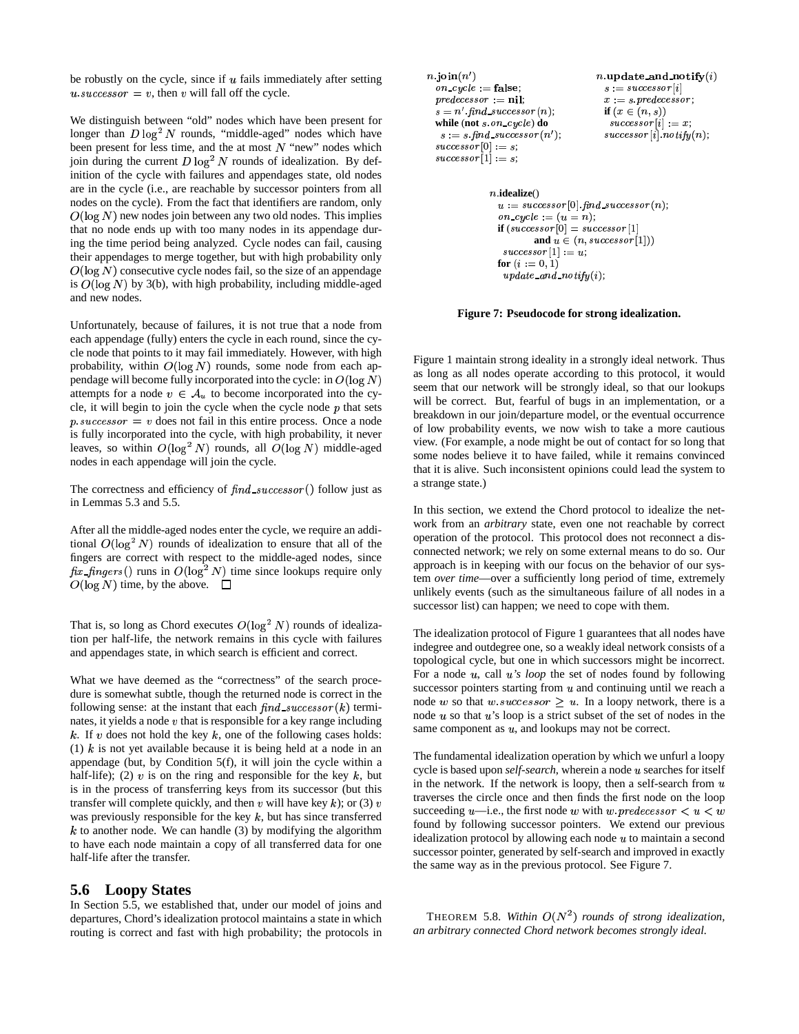be robustly on the cycle, since if  $u$  fails immediately after setting u.successor = v, then v will fall off the cycle.

We distinguish between "old" nodes which have been present for longer than  $D \log^2 N$  rounds, "middle-aged" nodes which have been present for less time, and the at most  $N$  "new" nodes which join during the current  $D \log^2 N$  rounds of idealization. By definition of the cycle with failures and appendages state, old nodes are in the cycle (i.e., are reachable by successor pointers from all nodes on the cycle). From the fact that identifiers are random, only  $O(\log N)$  new nodes join between any two old nodes. This implies that no node ends up with too many nodes in its appendage during the time period being analyzed. Cycle nodes can fail, causing their appendages to merge together, but with high probability only  $O(\log N)$  consecutive cycle nodes fail, so the size of an appendage is  $O(\log N)$  by 3(b), with high probability, including middle-aged and new nodes.

Unfortunately, because of failures, it is not true that a node from each appendage (fully) enters the cycle in each round, since the cycle node that points to it may fail immediately. However, with high probability, within  $O(\log N)$  rounds, some node from each appendage will become fully incorporated into the cycle: in  $O(\log N)$ attempts for a node  $v \in A_u$  to become incorporated into the cycle, it will begin to join the cycle when the cycle node  $p$  that sets  $p \nvert successor = v$  does not fail in this entire process. Once a node is fully incorporated into the cycle, with high probability, it never leaves, so within  $O(\log^2 N)$  rounds, all  $O(\log N)$  middle-aged nodes in each appendage will join the cycle.

The correctness and efficiency of  $find\_successor()$  follow just as in Lemmas 5.3 and 5.5.

After all the middle-aged nodes enter the cycle, we require an additional  $O(\log^2 N)$  rounds of idealization to ensure that all of the fingers are correct with respect to the middle-aged nodes, since  $\int f(x) g(x) \, dx$  runs in  $O(\log^2 N)$  time since lookups require only  $O(\log N)$  time, by the above.

That is, so long as Chord executes  $O(\log^2 N)$  rounds of idealization per half-life, the network remains in this cycle with failures and appendages state, in which search is efficient and correct.

What we have deemed as the "correctness" of the search procedure is somewhat subtle, though the returned node is correct in the following sense: at the instant that each  $\mathit{find\_successor}(k)$  terminates, it yields a node  $v$  that is responsible for a key range including  $k$ . If v does not hold the key  $k$ , one of the following cases holds: (1)  $k$  is not yet available because it is being held at a node in an appendage (but, by Condition 5(f), it will join the cycle within a half-life); (2) v is on the ring and responsible for the key  $k$ , but is in the process of transferring keys from its successor (but this transfer will complete quickly, and then  $v$  will have key  $k$ ); or (3)  $v$ was previously responsible for the key  $k$ , but has since transferred  $k$  to another node. We can handle (3) by modifying the algorithm to have each node maintain a copy of all transferred data for one half-life after the transfer.

## **5.6 Loopy States**

In Section 5.5, we established that, under our model of joins and departures, Chord's idealization protocol maintains a state in which routing is correct and fast with high probability; the protocols in

```
n join(n')on\_cycle := \mathbf{false};\emph{predecessor} := \textbf{nil};s = n' find_successor(n);
 while (not s on cycle) do
 successor[0] := s;:= s.find\_successor(n');successor[1] := s;n update and notify(i)s := successor[i]x := s.\textit{predecessor};if (x \in (n, s))successor[i] := x;successor[i].notify(n);.idealize() u := successor[0]. find_successor (n);on\_cycle := (u = n);\textbf{if } (successor \lceil 0 \rceil = successor \lceil 1 \rceiland u \in (n, successor[1]))\small successor[1]:=u;for (i := 0, 1)update\_and\_notify(i);
```
#### **Figure 7: Pseudocode for strong idealization.**

Figure 1 maintain strong ideality in a strongly ideal network. Thus as long as all nodes operate according to this protocol, it would seem that our network will be strongly ideal, so that our lookups will be correct. But, fearful of bugs in an implementation, or a breakdown in our join/departure model, or the eventual occurrence of low probability events, we now wish to take a more cautious view. (For example, a node might be out of contact for so long that some nodes believe it to have failed, while it remains convinced that it is alive. Such inconsistent opinions could lead the system to a strange state.)

In this section, we extend the Chord protocol to idealize the network from an *arbitrary* state, even one not reachable by correct operation of the protocol. This protocol does not reconnect a disconnected network; we rely on some external means to do so. Our approach is in keeping with our focus on the behavior of our system *over time*—over a sufficiently long period of time, extremely unlikely events (such as the simultaneous failure of all nodes in a successor list) can happen; we need to cope with them.

The idealization protocol of Figure 1 guarantees that all nodes have indegree and outdegree one, so a weakly ideal network consists of a topological cycle, but one in which successors might be incorrect. For a node *u*, call *u's loop* the set of nodes found by following successor pointers starting from  $u$  and continuing until we reach a node w so that w successor  $\geq u$ . In a loopy network, there is a node  $u$  so that  $u$ 's loop is a strict subset of the set of nodes in the same component as  $u$ , and lookups may not be correct.

The fundamental idealization operation by which we unfurl a loopy cycle is based upon *self-search*, wherein a node  $u$  searches for itself in the network. If the network is loopy, then a self-search from  $u$ traverses the circle once and then finds the first node on the loop succeeding  $u$ —i.e., the first node  $w$  with  $w$ .  $predecessor < u < w$ found by following successor pointers. We extend our previous idealization protocol by allowing each node  $u$  to maintain a second successor pointer, generated by self-search and improved in exactly the same way as in the previous protocol. See Figure 7.

THEOREM 5.8. Within  $O(N^2)$  rounds of strong *idealization*, *an arbitrary connected Chord network becomes strongly ideal.*